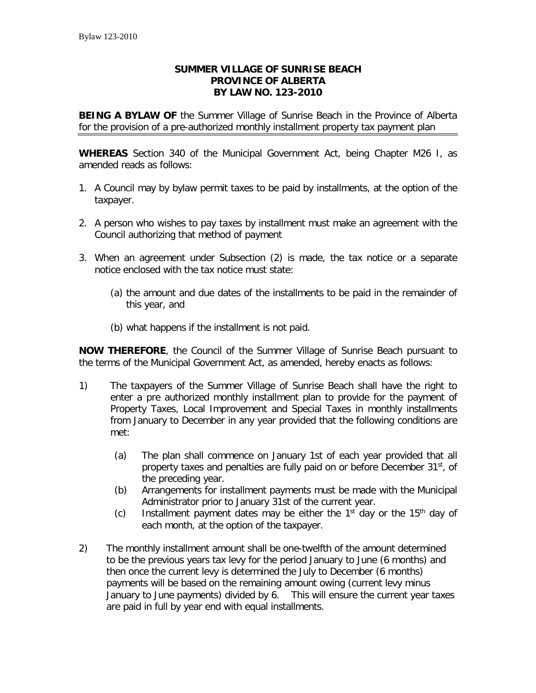## **SUMMER VILLAGE OF SUNRISE BEACH PROVINCE OF ALBERTA BY LAW NO. 123-2010**

**BEING A BYLAW OF** the Summer Village of Sunrise Beach in the Province of Alberta for the provision of a pre-authorized monthly installment property tax payment plan

**WHEREAS** Section 340 of the Municipal Government Act, being Chapter M26 I, as amended reads as follows:

- 1. A Council may by bylaw permit taxes to be paid by installments, at the option of the taxpayer.
- 2. A person who wishes to pay taxes by installment must make an agreement with the Council authorizing that method of payment
- 3. When an agreement under Subsection (2) is made, the tax notice or a separate notice enclosed with the tax notice must state:
	- (a) the amount and due dates of the installments to be paid in the remainder of this year, and
	- (b) what happens if the installment is not paid.

**NOW THEREFORE**, the Council of the Summer Village of Sunrise Beach pursuant to the terms of the Municipal Government Act, as amended, hereby enacts as follows:

- 1) The taxpayers of the Summer Village of Sunrise Beach shall have the right to enter a pre authorized monthly installment plan to provide for the payment of Property Taxes, Local Improvement and Special Taxes in monthly installments from January to December in any year provided that the following conditions are met:
	- (a) The plan shall commence on January 1st of each year provided that all property taxes and penalties are fully paid on or before December 31<sup>st</sup>, of the preceding year.
	- (b) Arrangements for installment payments must be made with the Municipal Administrator prior to January 31st of the current year.
	- (c) Installment payment dates may be either the  $1<sup>st</sup>$  day or the  $15<sup>th</sup>$  day of each month, at the option of the taxpayer.
- 2) The monthly installment amount shall be one-twelfth of the amount determined to be the previous years tax levy for the period January to June (6 months) and then once the current levy is determined the July to December (6 months) payments will be based on the remaining amount owing (current levy minus January to June payments) divided by 6. This will ensure the current year taxes are paid in full by year end with equal installments.